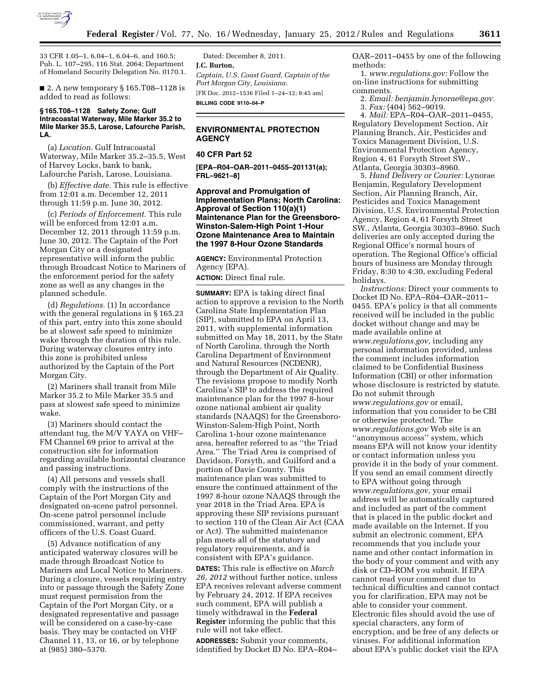

33 CFR 1.05–1, 6.04–1, 6.04–6, and 160.5; Pub. L. 107–295, 116 Stat. 2064; Department of Homeland Security Delegation No. 0170.1.

■ 2. A new temporary § 165.T08-1128 is added to read as follows:

#### **§ 165.T08–1128 Safety Zone; Gulf Intracoastal Waterway, Mile Marker 35.2 to Mile Marker 35.5, Larose, Lafourche Parish, LA.**

(a) *Location.* Gulf Intracoastal Waterway, Mile Marker 35.2–35.5, West of Harvey Locks, bank to bank, Lafourche Parish, Larose, Louisiana.

(b) *Effective date.* This rule is effective from 12:01 a.m. December 12, 2011 through 11:59 p.m. June 30, 2012.

(c) *Periods of Enforcement.* This rule will be enforced from 12:01 a.m. December 12, 2011 through 11:59 p.m. June 30, 2012. The Captain of the Port Morgan City or a designated representative will inform the public through Broadcast Notice to Mariners of the enforcement period for the safety zone as well as any changes in the planned schedule.

(d) *Regulations.* (1) In accordance with the general regulations in § 165.23 of this part, entry into this zone should be at slowest safe speed to minimize wake through the duration of this rule. During waterway closures entry into this zone is prohibited unless authorized by the Captain of the Port Morgan City.

(2) Mariners shall transit from Mile Marker 35.2 to Mile Marker 35.5 and pass at slowest safe speed to minimize wake.

(3) Mariners should contact the attendant tug, the M/V YAYA on VHF– FM Channel 69 prior to arrival at the construction site for information regarding available horizontal clearance and passing instructions.

(4) All persons and vessels shall comply with the instructions of the Captain of the Port Morgan City and designated on-scene patrol personnel. On-scene patrol personnel include commissioned, warrant, and petty officers of the U.S. Coast Guard.

(5) Advance notification of any anticipated waterway closures will be made through Broadcast Notice to Mariners and Local Notice to Mariners. During a closure, vessels requiring entry into or passage through the Safety Zone must request permission from the Captain of the Port Morgan City, or a designated representative and passage will be considered on a case-by-case basis. They may be contacted on VHF Channel 11, 13, or 16, or by telephone at (985) 380–5370.

Dated: December 8, 2011. **J.C. Burton,**  *Captain, U.S. Coast Guard, Captain of the Port Morgan City, Louisiana.*  [FR Doc. 2012–1536 Filed 1–24–12; 8:45 am] **BILLING CODE 9110–04–P** 

### **ENVIRONMENTAL PROTECTION AGENCY**

# **40 CFR Part 52**

**[EPA–R04–OAR–2011–0455–201131(a); FRL–9621–8]** 

**Approval and Promulgation of Implementation Plans; North Carolina: Approval of Section 110(a)(1) Maintenance Plan for the Greensboro-Winston-Salem-High Point 1-Hour Ozone Maintenance Area to Maintain the 1997 8-Hour Ozone Standards** 

**AGENCY:** Environmental Protection Agency (EPA). **ACTION:** Direct final rule.

**SUMMARY:** EPA is taking direct final action to approve a revision to the North Carolina State Implementation Plan (SIP), submitted to EPA on April 13, 2011, with supplemental information submitted on May 18, 2011, by the State of North Carolina, through the North Carolina Department of Environment and Natural Resources (NCDENR), through the Department of Air Quality. The revisions propose to modify North Carolina's SIP to address the required maintenance plan for the 1997 8-hour ozone national ambient air quality standards (NAAQS) for the Greensboro-Winston-Salem-High Point, North Carolina 1-hour ozone maintenance area, hereafter referred to as ''the Triad Area.'' The Triad Area is comprised of Davidson, Forsyth, and Guilford and a portion of Davie County. This maintenance plan was submitted to ensure the continued attainment of the 1997 8-hour ozone NAAQS through the year 2018 in the Triad Area. EPA is approving these SIP revisions pursuant to section 110 of the Clean Air Act (CAA or Act). The submitted maintenance plan meets all of the statutory and regulatory requirements, and is consistent with EPA's guidance.

**DATES:** This rule is effective on *March 26, 2012* without further notice, unless EPA receives relevant adverse comment by February 24, 2012. If EPA receives such comment, EPA will publish a timely withdrawal in the **Federal Register** informing the public that this rule will not take effect.

**ADDRESSES:** Submit your comments, identified by Docket ID No. EPA–R04– OAR–2011–0455 by one of the following methods:

1. *[www.regulations.gov:](http://www.regulations.gov)* Follow the on-line instructions for submitting comments.

2. *Email: [benjamin.lynorae@epa.gov.](mailto:benjamin.lynorae@epa.gov)* 

3. *Fax:* (404) 562–9019.

4. *Mail:* EPA–R04–OAR–2011–0455, Regulatory Development Section, Air Planning Branch, Air, Pesticides and Toxics Management Division, U.S. Environmental Protection Agency, Region 4, 61 Forsyth Street SW., Atlanta, Georgia 30303–8960.

5. *Hand Delivery or Courier:* Lynorae Benjamin, Regulatory Development Section, Air Planning Branch, Air, Pesticides and Toxics Management Division, U.S. Environmental Protection Agency, Region 4, 61 Forsyth Street SW., Atlanta, Georgia 30303–8960. Such deliveries are only accepted during the Regional Office's normal hours of operation. The Regional Office's official hours of business are Monday through Friday, 8:30 to 4:30, excluding Federal holidays.

*Instructions:* Direct your comments to Docket ID No. EPA–R04–OAR–2011– 0455. EPA's policy is that all comments received will be included in the public docket without change and may be made available online at *[www.regulations.gov,](http://www.regulations.gov)* including any personal information provided, unless the comment includes information claimed to be Confidential Business Information (CBI) or other information whose disclosure is restricted by statute. Do not submit through *[www.regulations.gov](http://www.regulations.gov)* or email, information that you consider to be CBI or otherwise protected. The *[www.regulations.gov](http://www.regulations.gov)* Web site is an ''anonymous access'' system, which means EPA will not know your identity or contact information unless you provide it in the body of your comment. If you send an email comment directly to EPA without going through *[www.regulations.gov,](http://www.regulations.gov)* your email address will be automatically captured and included as part of the comment that is placed in the public docket and made available on the Internet. If you submit an electronic comment, EPA recommends that you include your name and other contact information in the body of your comment and with any disk or CD–ROM you submit. If EPA cannot read your comment due to technical difficulties and cannot contact you for clarification, EPA may not be able to consider your comment. Electronic files should avoid the use of special characters, any form of encryption, and be free of any defects or viruses. For additional information about EPA's public docket visit the EPA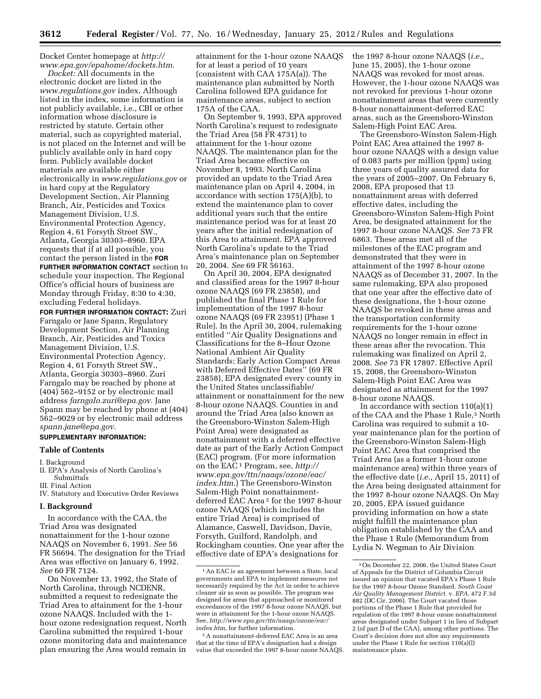Docket Center homepage at *[http://](http://www.epa.gov/epahome/dockets.htm) [www.epa.gov/epahome/dockets.htm.](http://www.epa.gov/epahome/dockets.htm)* 

*Docket:* All documents in the electronic docket are listed in the *[www.regulations.gov](http://www.regulations.gov)* index. Although listed in the index, some information is not publicly available, i.e., CBI or other information whose disclosure is restricted by statute. Certain other material, such as copyrighted material, is not placed on the Internet and will be publicly available only in hard copy form. Publicly available docket materials are available either electronically in *[www.regulations.gov](http://www.regulations.gov)* or in hard copy at the Regulatory Development Section, Air Planning Branch, Air, Pesticides and Toxics Management Division, U.S. Environmental Protection Agency, Region 4, 61 Forsyth Street SW., Atlanta, Georgia 30303–8960. EPA requests that if at all possible, you contact the person listed in the **FOR FURTHER INFORMATION CONTACT** section to

schedule your inspection. The Regional Office's official hours of business are Monday through Friday, 8:30 to 4:30, excluding Federal holidays.

**FOR FURTHER INFORMATION CONTACT:** Zuri Farngalo or Jane Spann, Regulatory Development Section, Air Planning Branch, Air, Pesticides and Toxics Management Division, U.S. Environmental Protection Agency, Region 4, 61 Forsyth Street SW., Atlanta, Georgia 30303–8960. Zuri Farngalo may be reached by phone at  $(404)$  562–9152 or by electronic mail address *[farngalo.zuri@epa.gov.](mailto:farngalo.zuri@epa.gov)* Jane Spann may be reached by phone at (404) 562–9029 or by electronic mail address *[spann.jane@epa.gov.](mailto:spann.jane@epa.gov)* 

# **SUPPLEMENTARY INFORMATION:**

# **Table of Contents**

I. Background

- II. EPA's Analysis of North Carolina's Submittals
- III. Final Action
- IV. Statutory and Executive Order Reviews

### **I. Background**

In accordance with the CAA, the Triad Area was designated nonattainment for the 1-hour ozone NAAQS on November 6, 1991. *See* 56 FR 56694. The designation for the Triad Area was effective on January 6, 1992. *See* 60 FR 7124.

On November 13, 1992, the State of North Carolina, through NCDENR, submitted a request to redesignate the Triad Area to attainment for the 1-hour ozone NAAQS. Included with the 1 hour ozone redesignation request, North Carolina submitted the required 1-hour ozone monitoring data and maintenance plan ensuring the Area would remain in

attainment for the 1-hour ozone NAAQS for at least a period of 10 years (consistent with CAA 175A(a)). The maintenance plan submitted by North Carolina followed EPA guidance for maintenance areas, subject to section 175A of the CAA.

On September 9, 1993, EPA approved North Carolina's request to redesignate the Triad Area (58 FR 4731) to attainment for the 1-hour ozone NAAQS. The maintenance plan for the Triad Area became effective on November 8, 1993. North Carolina provided an update to the Triad Area maintenance plan on April 4, 2004, in accordance with section 175(A)(b), to extend the maintenance plan to cover additional years such that the entire maintenance period was for at least 20 years after the initial redesignation of this Area to attainment. EPA approved North Carolina's update to the Triad Area's maintenance plan on September 20, 2004. *See* 69 FR 56163.

On April 30, 2004, EPA designated and classified areas for the 1997 8-hour ozone NAAQS (69 FR 23858), and published the final Phase 1 Rule for implementation of the 1997 8-hour ozone NAAQS (69 FR 23951) (Phase 1 Rule). In the April 30, 2004, rulemaking entitled ''Air Quality Designations and Classifications for the 8–Hour Ozone National Ambient Air Quality Standards; Early Action Compact Areas with Deferred Effective Dates'' (69 FR 23858), EPA designated every county in the United States unclassifiable/ attainment or nonattainment for the new 8-hour ozone NAAQS. Counties in and around the Triad Area (also known as the Greensboro-Winston Salem-High Point Area) were designated as nonattainment with a deferred effective date as part of the Early Action Compact (EAC) program. (For more information on the EAC1 Program, see, *[http://](http://www.epa.gov/ttn/naaqs/ozone/eac/index.htm)  [www.epa.gov/ttn/naaqs/ozone/eac/](http://www.epa.gov/ttn/naaqs/ozone/eac/index.htm)  [index.htm.](http://www.epa.gov/ttn/naaqs/ozone/eac/index.htm)*) The Greensboro-Winston Salem-High Point nonattainmentdeferred EAC Area 2 for the 1997 8-hour ozone NAAQS (which includes the entire Triad Area) is comprised of Alamance, Caswell, Davidson, Davie, Forsyth, Guilford, Randolph, and Rockingham counties. One year after the effective date of EPA's designations for

the 1997 8-hour ozone NAAQS (*i.e.,*  June 15, 2005), the 1-hour ozone NAAQS was revoked for most areas. However, the 1-hour ozone NAAQS was not revoked for previous 1-hour ozone nonattainment areas that were currently 8-hour nonattainment-deferred EAC areas, such as the Greensboro-Winston Salem-High Point EAC Area.

The Greensboro-Winston Salem-High Point EAC Area attained the 1997 8 hour ozone NAAQS with a design value of 0.083 parts per million (ppm) using three years of quality assured data for the years of 2005–2007. On February 6, 2008, EPA proposed that 13 nonattainment areas with deferred effective dates, including the Greensboro-Winston Salem-High Point Area, be designated attainment for the 1997 8-hour ozone NAAQS. *See* 73 FR 6863. These areas met all of the milestones of the EAC program and demonstrated that they were in attainment of the 1997 8-hour ozone NAAQS as of December 31, 2007. In the same rulemaking, EPA also proposed that one year after the effective date of these designations, the 1-hour ozone NAAQS be revoked in these areas and the transportation conformity requirements for the 1-hour ozone NAAQS no longer remain in effect in these areas after the revocation. This rulemaking was finalized on April 2, 2008. *See* 73 FR 17897. Effective April 15, 2008, the Greensboro-Winston Salem-High Point EAC Area was designated as attainment for the 1997 8-hour ozone NAAQS.

In accordance with section  $110(a)(1)$ of the CAA and the Phase 1 Rule,<sup>3</sup> North Carolina was required to submit a 10 year maintenance plan for the portion of the Greensboro-Winston Salem-High Point EAC Area that comprised the Triad Area (as a former 1-hour ozone maintenance area) within three years of the effective date (*i.e.,* April 15, 2011) of the Area being designated attainment for the 1997 8-hour ozone NAAQS. On May 20, 2005, EPA issued guidance providing information on how a state might fulfill the maintenance plan obligation established by the CAA and the Phase 1 Rule (Memorandum from Lydia N. Wegman to Air Division

<sup>1</sup>An EAC is an agreement between a State, local governments and EPA to implement measures not necessarily required by the Act in order to achieve cleaner air as soon as possible. The program was designed for areas that approached or monitored exceedances of the 1997 8-hour ozone NAAQS, but were in attainment for the 1-hour ozone NAAQS. See, *[http://www.epa.gov/ttn/naaqs/ozone/eac/](http://www.epa.gov/ttn/naaqs/ozone/eac/index.htm)  [index.htm,](http://www.epa.gov/ttn/naaqs/ozone/eac/index.htm)* for further information.

<sup>2</sup>A nonattainment-deferred EAC Area is an area that at the time of EPA's designation had a design value that exceeded the 1997 8-hour ozone NAAQS.

<sup>3</sup>On December 22, 2006, the United States Court of Appeals for the District of Columbia Circuit issued an opinion that vacated EPA's Phase 1 Rule for the 1997 8-hour Ozone Standard. *South Coast Air Quality Management District.* v. *EPA,* 472 F.3d 882 (DC Cir. 2006). The Court vacated those portions of the Phase 1 Rule that provided for regulation of the 1997 8-hour ozone nonattainment areas designated under Subpart 1 in lieu of Subpart 2 (of part D of the CAA), among other portions. The Court's decision does not alter any requirements under the Phase 1 Rule for section 110(a)(l) maintenance plans.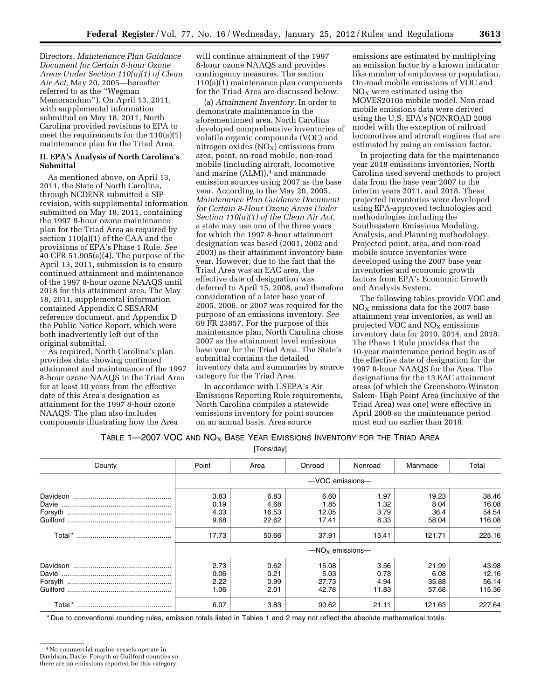Directors, *Maintenance Plan Guidance Document for Certain 8-hour Ozone Areas Under Section 110(a)(1) of Clean Air Act,* May 20, 2005—hereafter referred to as the ''Wegman Memorandum''). On April 13, 2011, with supplemental information submitted on May 18, 2011, North Carolina provided revisions to EPA to meet the requirements for the 110(a)(1) maintenance plan for the Triad Area.

#### **II. EPA's Analysis of North Carolina's Submittal**

As mentioned above, on April 13, 2011, the State of North Carolina, through NCDENR submitted a SIP revision, with supplemental information submitted on May 18, 2011, containing the 1997 8-hour ozone maintenance plan for the Triad Area as required by section 110(a)(1) of the CAA and the provisions of EPA's Phase 1 Rule. *See*  40 CFR 51.905(a)(4). The purpose of the April 13, 2011, submission is to ensure continued attainment and maintenance of the 1997 8-hour ozone NAAQS until 2018 for this attainment area. The May 18, 2011, supplemental information contained Appendix C SESARM reference document, and Appendix D the Public Notice Report, which were both inadvertently left out of the original submittal.

As required, North Carolina's plan provides data showing continued attainment and maintenance of the 1997 8-hour ozone NAAQS in the Triad Area for at least 10 years from the effective date of this Area's designation as attainment for the 1997 8-hour ozone NAAQS. The plan also includes components illustrating how the Area

will continue attainment of the 1997 8-hour ozone NAAQS and provides contingency measures. The section 110(a)(1) maintenance plan components for the Triad Area are discussed below.

(a) *Attainment Inventory.* In order to demonstrate maintenance in the aforementioned area, North Carolina developed comprehensive inventories of volatile organic compounds (VOC) and nitrogen oxides  $(NO<sub>X</sub>)$  emissions from area, point, on-road mobile, non-road mobile (including aircraft, locomotive and marine  $(ALM)$ ,<sup>4</sup> and manmade emission sources using 2007 as the base year. According to the May 20, 2005, *Maintenance Plan Guidance Document for Certain 8-Hour Ozone Areas Under Section 110(a)(1) of the Clean Air Act,*  a state may use one of the three years for which the 1997 8-hour attainment designation was based (2001, 2002 and 2003) as their attainment inventory base year. However, due to the fact that the Triad Area was an EAC area, the effective date of designation was deferred to April 15, 2008, and therefore consideration of a later base year of 2005, 2006, or 2007 was required for the purpose of an emissions inventory. *See*  69 FR 23857. For the purpose of this maintenance plan, North Carolina chose 2007 as the attainment level emissions base year for the Triad Area. The State's submittal contains the detailed inventory data and summaries by source category for the Triad Area.

In accordance with USEPA's Air Emissions Reporting Rule requirements, North Carolina compiles a statewide emissions inventory for point sources on an annual basis. Area source

emissions are estimated by multiplying an emission factor by a known indicator like number of employess or population. On-road mobile emissions of VOC and  $NO<sub>x</sub>$  were estimated using the MOVES2010a mobile model. Non-road mobile emissions data were derived using the U.S. EPA's NONROAD 2008 model with the exception of railroad locomotives and aircraft engines that are estimated by using an emission factor.

In projecting data for the maintenance year 2018 emissions inventories, North Carolina used several methods to project data from the base year 2007 to the interim years 2011, and 2018. These projected inventories were developed using EPA-approved technologies and methodologies including the Southeastern Emissions Modeling, Analysis, and Planning methodology. Projected point, area, and non-road mobile source inventories were developed using the 2007 base year inventories and economic growth factors from EPA's Economic Growth and Analysis System.

The following tables provide VOC and  $NO<sub>x</sub>$  emissions data for the 2007 base attainment year inventories, as well as projected VOC and  $NO<sub>x</sub>$  emissions inventory data for 2010, 2014, and 2018. The Phase 1 Rule provides that the 10-year maintenance period begin as of the effective date of designation for the 1997 8-hour NAAQS for the Area. The designations for the 13 EAC attainment areas (of which the Greensboro-Winston Salem- High Point Area (inclusive of the Triad Area) was one) were effective in April 2008 so the maintenance period must end no earlier than 2018.

TABLE 1—2007 VOC AND  $NO_{X}$  Base Year Emissions Inventory for the Triad Area

[Tons/day]

| County | Point                 | Area  | Onroad | Nonroad | Manmade | Total  |
|--------|-----------------------|-------|--------|---------|---------|--------|
|        | $-$ VOC emissions $-$ |       |        |         |         |        |
|        | 3.83                  | 6.83  | 6.60   | 1.97    | 19.23   | 38.46  |
|        | 0.19                  | 4.68  | 1.85   | 1.32    | 8.04    | 16.08  |
|        | 4.03                  | 16.53 | 12.05  | 3.79    | 36.4    | 54.54  |
|        | 9.68                  | 22.62 | 17.41  | 8.33    | 58.04   | 116.08 |
|        | 17.73                 | 50.66 | 37.91  | 15.41   | 121.71  | 225.16 |
|        | $-MOx$ emissions-     |       |        |         |         |        |
|        | 2.73                  | 0.62  | 15.08  | 3.56    | 21.99   | 43.98  |
|        | 0.06                  | 0.21  | 5.03   | 0.78    | 6.08    | 12.16  |
|        | 2.22                  | 0.99  | 27.73  | 4.94    | 35.88   | 56.14  |
|        | 1.06                  | 2.01  | 42.78  | 11.83   | 57.68   | 115.36 |
|        | 6.07                  | 3.83  | 90.62  | 21.11   | 121.63  | 227.64 |

\* Due to conventional rounding rules, emission totals listed in Tables 1 and 2 may not reflect the absolute mathematical totals.

<sup>4</sup>No commercial marine vessels operate in

Davidson, Davie, Forsyth or Guilford counties so

there are no emissions reported for this category.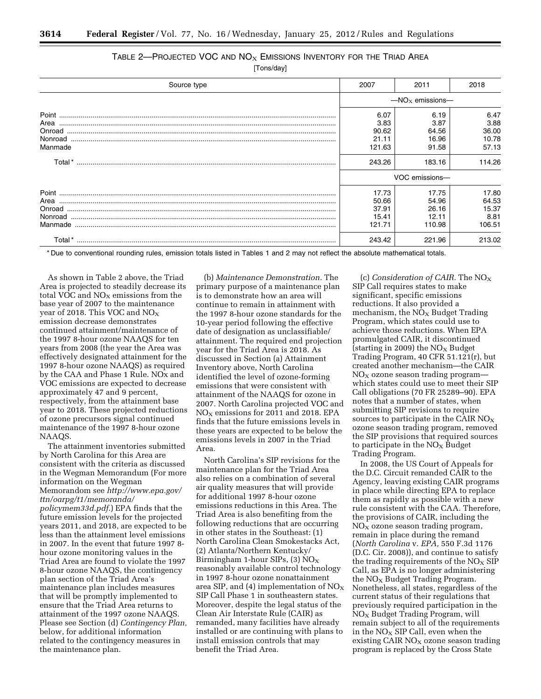| TABLE 2—PROJECTED VOC AND $NO_{X}$ Emissions Inventory for the Triad Area |  |
|---------------------------------------------------------------------------|--|
|---------------------------------------------------------------------------|--|

[Tons/day]

| Source type                                                                                                                          | 2007                                               | 2011                                              | 2018                                              |
|--------------------------------------------------------------------------------------------------------------------------------------|----------------------------------------------------|---------------------------------------------------|---------------------------------------------------|
|                                                                                                                                      | $-MOx$ emissions-                                  |                                                   |                                                   |
| Area<br>Manmade                                                                                                                      | 6.07<br>3.83<br>90.62<br>21.11<br>121.63<br>243.26 | 6.19<br>3.87<br>64.56<br>16.96<br>91.58<br>183.16 | 6.47<br>3.88<br>36.00<br>10.78<br>57.13<br>114.26 |
|                                                                                                                                      | VOC emissions-                                     |                                                   |                                                   |
| $\textbf{Manmade}\,\, \textcolor{red}{\textbf{Manmade}}\,\, \textcolor{red}{\textbf{Manmade}}\,\, \textcolor{red}{\textbf{Manmade}}$ | 17.73<br>50.66<br>37.91<br>15.41<br>121.71         | 17.75<br>54.96<br>26.16<br>12.11<br>110.98        | 17.80<br>64.53<br>15.37<br>8.81<br>106.51         |
|                                                                                                                                      | 243.42                                             | 221.96                                            | 213.02                                            |

\* Due to conventional rounding rules, emission totals listed in Tables 1 and 2 may not reflect the absolute mathematical totals.

As shown in Table 2 above, the Triad Area is projected to steadily decrease its total VOC and  $NO<sub>x</sub>$  emissions from the base year of 2007 to the maintenance year of 2018. This VOC and  $NO<sub>X</sub>$ emission decrease demonstrates continued attainment/maintenance of the 1997 8-hour ozone NAAQS for ten years from 2008 (the year the Area was effectively designated attainment for the 1997 8-hour ozone NAAQS) as required by the CAA and Phase 1 Rule. NOx and VOC emissions are expected to decrease approximately 47 and 9 percent, respectively, from the attainment base year to 2018. These projected reductions of ozone precursors signal continued maintenance of the 1997 8-hour ozone NAAQS.

The attainment inventories submitted by North Carolina for this Area are consistent with the criteria as discussed in the Wegman Memorandum (For more information on the Wegman Memorandom see *[http://www.epa.gov/](http://www.epa.gov/ttn/oarpg/t1/memoranda/policymem33d.pdf)  [ttn/oarpg/t1/memoranda/](http://www.epa.gov/ttn/oarpg/t1/memoranda/policymem33d.pdf) [policymem33d.pdf](http://www.epa.gov/ttn/oarpg/t1/memoranda/policymem33d.pdf)*.) EPA finds that the future emission levels for the projected years 2011, and 2018, are expected to be less than the attainment level emissions in 2007. In the event that future 1997 8 hour ozone monitoring values in the Triad Area are found to violate the 1997 8-hour ozone NAAQS, the contingency plan section of the Triad Area's maintenance plan includes measures that will be promptly implemented to ensure that the Triad Area returns to attainment of the 1997 ozone NAAQS. Please see Section (d) *Contingency Plan,*  below, for additional information related to the contingency measures in the maintenance plan.

(b) *Maintenance Demonstration.* The primary purpose of a maintenance plan is to demonstrate how an area will continue to remain in attainment with the 1997 8-hour ozone standards for the 10-year period following the effective date of designation as unclassifiable/ attainment. The required end projection year for the Triad Area is 2018. As discussed in Section (a) Attainment Inventory above, North Carolina identified the level of ozone-forming emissions that were consistent with attainment of the NAAQS for ozone in 2007. North Carolina projected VOC and  $NO<sub>X</sub>$  emissions for 2011 and 2018. EPA finds that the future emissions levels in these years are expected to be below the emissions levels in 2007 in the Triad Area.

North Carolina's SIP revisions for the maintenance plan for the Triad Area also relies on a combination of several air quality measures that will provide for additional 1997 8-hour ozone emissions reductions in this Area. The Triad Area is also benefiting from the following reductions that are occurring in other states in the Southeast: (1) North Carolina Clean Smokestacks Act, (2) Atlanta/Northern Kentucky/ Birmingham 1-hour SIPs,  $(3)$  NO<sub>X</sub> reasonably available control technology in 1997 8-hour ozone nonattainment area SIP, and (4) implementation of  $NO<sub>x</sub>$ SIP Call Phase 1 in southeastern states. Moreover, despite the legal status of the Clean Air Interstate Rule (CAIR) as remanded, many facilities have already installed or are continuing with plans to install emission controls that may benefit the Triad Area.

(c) *Consideration of CAIR.* The NOX SIP Call requires states to make significant, specific emissions reductions. It also provided a mechanism, the  $NO<sub>x</sub>$  Budget Trading Program, which states could use to achieve those reductions. When EPA promulgated CAIR, it discontinued (starting in 2009) the  $NO<sub>x</sub>$  Budget Trading Program, 40 CFR 51.121(r), but created another mechanism—the CAIR  $NO<sub>x</sub>$  ozone season trading program which states could use to meet their SIP Call obligations (70 FR 25289–90). EPA notes that a number of states, when submitting SIP revisions to require sources to participate in the CAIR  $NO_X$ ozone season trading program, removed the SIP provisions that required sources to participate in the  $NO<sub>x</sub>$  Budget Trading Program.

In 2008, the US Court of Appeals for the D.C. Circuit remanded CAIR to the Agency, leaving existing CAIR programs in place while directing EPA to replace them as rapidly as possible with a new rule consistent with the CAA. Therefore, the provisions of CAIR, including the  $NO<sub>x</sub>$  ozone season trading program, remain in place during the remand (*North Carolina* v. *EPA,* 550 F.3d 1176 (D.C. Cir. 2008)), and continue to satisfy the trading requirements of the  $NO<sub>x</sub>$  SIP Call, as EPA is no longer administering the  $NO_X$  Budget Trading Program. Nonetheless, all states, regardless of the current status of their regulations that previously required participation in the  $NO<sub>x</sub>$  Budget Trading Program, will remain subject to all of the requirements in the  $NO<sub>X</sub>$  SIP Call, even when the existing CAIR  $NO<sub>x</sub>$  ozone season trading program is replaced by the Cross State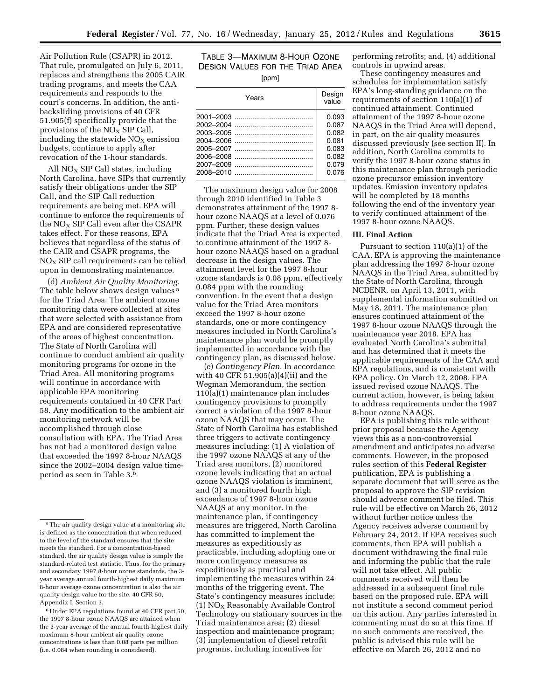Air Pollution Rule (CSAPR) in 2012. That rule, promulgated on July 6, 2011, replaces and strengthens the 2005 CAIR trading programs, and meets the CAA requirements and responds to the court's concerns. In addition, the antibacksliding provisions of 40 CFR 51.905(f) specifically provide that the provisions of the  $NO<sub>x</sub>$  SIP Call, including the statewide  $NO<sub>X</sub>$  emission budgets, continue to apply after revocation of the 1-hour standards.

All  $NO<sub>X</sub>$  SIP Call states, including North Carolina, have SIPs that currently satisfy their obligations under the SIP Call, and the SIP Call reduction requirements are being met. EPA will continue to enforce the requirements of the  $NO<sub>X</sub>$  SIP Call even after the CSAPR takes effect. For these reasons, EPA believes that regardless of the status of the CAIR and CSAPR programs, the  $NO<sub>x</sub>$  SIP call requirements can be relied upon in demonstrating maintenance.

(d) *Ambient Air Quality Monitoring.*  The table below shows design values 5 for the Triad Area. The ambient ozone monitoring data were collected at sites that were selected with assistance from EPA and are considered representative of the areas of highest concentration. The State of North Carolina will continue to conduct ambient air quality monitoring programs for ozone in the Triad Area. All monitoring programs will continue in accordance with applicable EPA monitoring requirements contained in 40 CFR Part 58. Any modification to the ambient air monitoring network will be accomplished through close consultation with EPA. The Triad Area has not had a monitored design value that exceeded the 1997 8-hour NAAQS since the 2002–2004 design value timeperiod as seen in Table 3.6

6Under EPA regulations found at 40 CFR part 50, the 1997 8-hour ozone NAAQS are attained when the 3-year average of the annual fourth-highest daily maximum 8-hour ambient air quality ozone concentrations is less than 0.08 parts per million (i.e. 0.084 when rounding is considered).

# TABLE 3—MAXIMUM 8-HOUR OZONE DESIGN VALUES FOR THE TRIAD AREA

| Years | Design<br>value |
|-------|-----------------|
|       | 0.093           |
|       | 0.087           |
|       | 0.082           |
|       | 0.081           |
|       | 0.083           |
|       | 0.082           |
|       | 0.079           |
|       | 0.076           |

The maximum design value for 2008 through 2010 identified in Table 3 demonstrates attainment of the 1997 8 hour ozone NAAQS at a level of 0.076 ppm. Further, these design values indicate that the Triad Area is expected to continue attainment of the 1997 8 hour ozone NAAQS based on a gradual decrease in the design values. The attainment level for the 1997 8-hour ozone standards is 0.08 ppm, effectively 0.084 ppm with the rounding convention. In the event that a design value for the Triad Area monitors exceed the 1997 8-hour ozone standards, one or more contingency measures included in North Carolina's maintenance plan would be promptly implemented in accordance with the contingency plan, as discussed below.

(e) *Contingency Plan.* In accordance with 40 CFR 51.905(a)(4)(ii) and the Wegman Memorandum, the section 110(a)(1) maintenance plan includes contingency provisions to promptly correct a violation of the 1997 8-hour ozone NAAQS that may occur. The State of North Carolina has established three triggers to activate contingency measures including: (1) A violation of the 1997 ozone NAAQS at any of the Triad area monitors, (2) monitored ozone levels indicating that an actual ozone NAAQS violation is imminent, and (3) a monitored fourth high exceedance of 1997 8-hour ozone NAAQS at any monitor. In the maintenance plan, if contingency measures are triggered, North Carolina has committed to implement the measures as expeditiously as practicable, including adopting one or more contingency measures as expeditiously as practical and implementing the measures within 24 months of the triggering event. The State's contingency measures include: (1)  $NO<sub>X</sub>$  Reasonably Available Control Technology on stationary sources in the Triad maintenance area; (2) diesel inspection and maintenance program; (3) implementation of diesel retrofit programs, including incentives for

performing retrofits; and, (4) additional controls in upwind areas.

These contingency measures and schedules for implementation satisfy EPA's long-standing guidance on the requirements of section 110(a)(1) of continued attainment. Continued attainment of the 1997 8-hour ozone NAAQS in the Triad Area will depend, in part, on the air quality measures discussed previously (see section II). In addition, North Carolina commits to verify the 1997 8-hour ozone status in this maintenance plan through periodic ozone precursor emission inventory updates. Emission inventory updates will be completed by 18 months following the end of the inventory year to verify continued attainment of the 1997 8-hour ozone NAAQS.

#### **III. Final Action**

Pursuant to section 110(a)(1) of the CAA, EPA is approving the maintenance plan addressing the 1997 8-hour ozone NAAQS in the Triad Area, submitted by the State of North Carolina, through NCDENR, on April 13, 2011, with supplemental information submitted on May 18, 2011. The maintenance plan ensures continued attainment of the 1997 8-hour ozone NAAQS through the maintenance year 2018. EPA has evaluated North Carolina's submittal and has determined that it meets the applicable requirements of the CAA and EPA regulations, and is consistent with EPA policy. On March 12, 2008, EPA issued revised ozone NAAQS. The current action, however, is being taken to address requirements under the 1997 8-hour ozone NAAQS.

EPA is publishing this rule without prior proposal because the Agency views this as a non-controversial amendment and anticipates no adverse comments. However, in the proposed rules section of this **Federal Register**  publication, EPA is publishing a separate document that will serve as the proposal to approve the SIP revision should adverse comment be filed. This rule will be effective on March 26, 2012 without further notice unless the Agency receives adverse comment by February 24, 2012. If EPA receives such comments, then EPA will publish a document withdrawing the final rule and informing the public that the rule will not take effect. All public comments received will then be addressed in a subsequent final rule based on the proposed rule. EPA will not institute a second comment period on this action. Any parties interested in commenting must do so at this time. If no such comments are received, the public is advised this rule will be effective on March 26, 2012 and no

<sup>&</sup>lt;sup>5</sup>The air quality design value at a monitoring site is defined as the concentration that when reduced to the level of the standard ensures that the site meets the standard. For a concentration-based standard, the air quality design value is simply the standard-related test statistic. Thus, for the primary and secondary 1997 8-hour ozone standards, the 3 year average annual fourth-highest daily maximum 8-hour average ozone concentration is also the air quality design value for the site. 40 CFR 50, Appendix I, Section 3.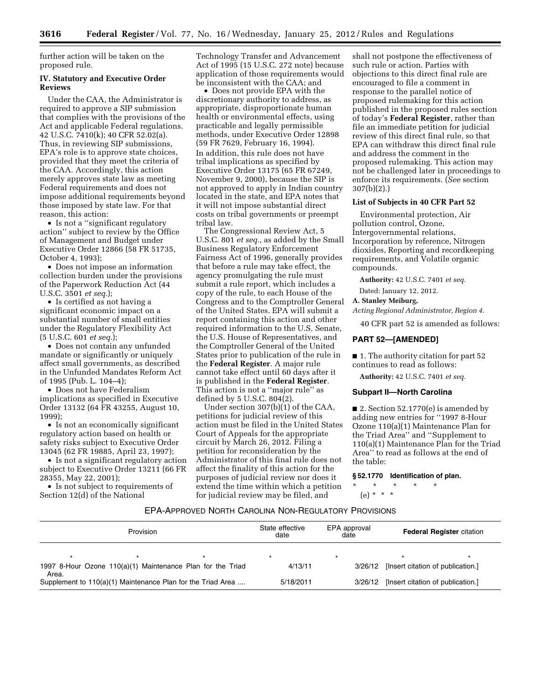further action will be taken on the proposed rule.

### **IV. Statutory and Executive Order Reviews**

Under the CAA, the Administrator is required to approve a SIP submission that complies with the provisions of the Act and applicable Federal regulations. 42 U.S.C. 7410(k); 40 CFR 52.02(a). Thus, in reviewing SIP submissions, EPA's role is to approve state choices, provided that they meet the criteria of the CAA. Accordingly, this action merely approves state law as meeting Federal requirements and does not impose additional requirements beyond those imposed by state law. For that reason, this action:

• Is not a ''significant regulatory action'' subject to review by the Office of Management and Budget under Executive Order 12866 (58 FR 51735, October 4, 1993);

• Does not impose an information collection burden under the provisions of the Paperwork Reduction Act (44 U.S.C. 3501 *et seq.*);

• Is certified as not having a significant economic impact on a substantial number of small entities under the Regulatory Flexibility Act (5 U.S.C. 601 *et seq.*);

• Does not contain any unfunded mandate or significantly or uniquely affect small governments, as described in the Unfunded Mandates Reform Act of 1995 (Pub. L. 104–4);

• Does not have Federalism implications as specified in Executive Order 13132 (64 FR 43255, August 10, 1999);

• Is not an economically significant regulatory action based on health or safety risks subject to Executive Order 13045 (62 FR 19885, April 23, 1997);

• Is not a significant regulatory action subject to Executive Order 13211 (66 FR 28355, May 22, 2001);

• Is not subject to requirements of Section 12(d) of the National

Technology Transfer and Advancement Act of 1995 (15 U.S.C. 272 note) because application of those requirements would be inconsistent with the CAA; and

• Does not provide EPA with the discretionary authority to address, as appropriate, disproportionate human health or environmental effects, using practicable and legally permissible methods, under Executive Order 12898 (59 FR 7629, February 16, 1994). In addition, this rule does not have tribal implications as specified by Executive Order 13175 (65 FR 67249, November 9, 2000), because the SIP is not approved to apply in Indian country located in the state, and EPA notes that it will not impose substantial direct costs on tribal governments or preempt tribal law.

The Congressional Review Act, 5 U.S.C. 801 *et seq.,* as added by the Small Business Regulatory Enforcement Fairness Act of 1996, generally provides that before a rule may take effect, the agency promulgating the rule must submit a rule report, which includes a copy of the rule, to each House of the Congress and to the Comptroller General of the United States. EPA will submit a report containing this action and other required information to the U.S. Senate, the U.S. House of Representatives, and the Comptroller General of the United States prior to publication of the rule in the **Federal Register**. A major rule cannot take effect until 60 days after it is published in the **Federal Register**. This action is not a ''major rule'' as defined by  $5 \text{ U.S.C. } 804(2)$ .

Under section 307(b)(1) of the CAA, petitions for judicial review of this action must be filed in the United States Court of Appeals for the appropriate circuit by March 26, 2012. Filing a petition for reconsideration by the Administrator of this final rule does not affect the finality of this action for the purposes of judicial review nor does it extend the time within which a petition for judicial review may be filed, and

shall not postpone the effectiveness of such rule or action. Parties with objections to this direct final rule are encouraged to file a comment in response to the parallel notice of proposed rulemaking for this action published in the proposed rules section of today's **Federal Register**, rather than file an immediate petition for judicial review of this direct final rule, so that EPA can withdraw this direct final rule and address the comment in the proposed rulemaking. This action may not be challenged later in proceedings to enforce its requirements. (*See* section 307(b)(2).)

# **List of Subjects in 40 CFR Part 52**

Environmental protection, Air pollution control, Ozone, Intergovernmental relations, Incorporation by reference, Nitrogen dioxides, Reporting and recordkeeping requirements, and Volatile organic compounds.

**Authority:** 42 U.S.C. 7401 *et seq.* 

Dated: January 12, 2012.

**A. Stanley Meiburg,** 

*Acting Regional Administrator, Region 4.* 

40 CFR part 52 is amended as follows:

#### **PART 52—[AMENDED]**

■ 1. The authority citation for part 52 continues to read as follows:

**Authority:** 42 U.S.C. 7401 *et seq.* 

#### **Subpart II—North Carolina**

■ 2. Section 52.1770(e) is amended by adding new entries for ''1997 8-Hour Ozone 110(a)(1) Maintenance Plan for the Triad Area'' and ''Supplement to 110(a)(1) Maintenance Plan for the Triad Area'' to read as follows at the end of the table:

**§ 52.1770 Identification of plan.** 

\* \* \* \* \* (e) \* \* \*

# EPA-APPROVED NORTH CAROLINA NON-REGULATORY PROVISIONS

|       | Provision |                                                             | State effective<br>date | EPA approval<br>date | <b>Federal Register citation</b>          |
|-------|-----------|-------------------------------------------------------------|-------------------------|----------------------|-------------------------------------------|
|       |           | 1997 8-Hour Ozone 110(a)(1) Maintenance Plan for the Triad  | 4/13/11                 | 3/26/12              | [Insert citation of publication.]         |
| Area. |           | Supplement to 110(a)(1) Maintenance Plan for the Triad Area | 5/18/2011               |                      | 3/26/12 [Insert citation of publication.] |